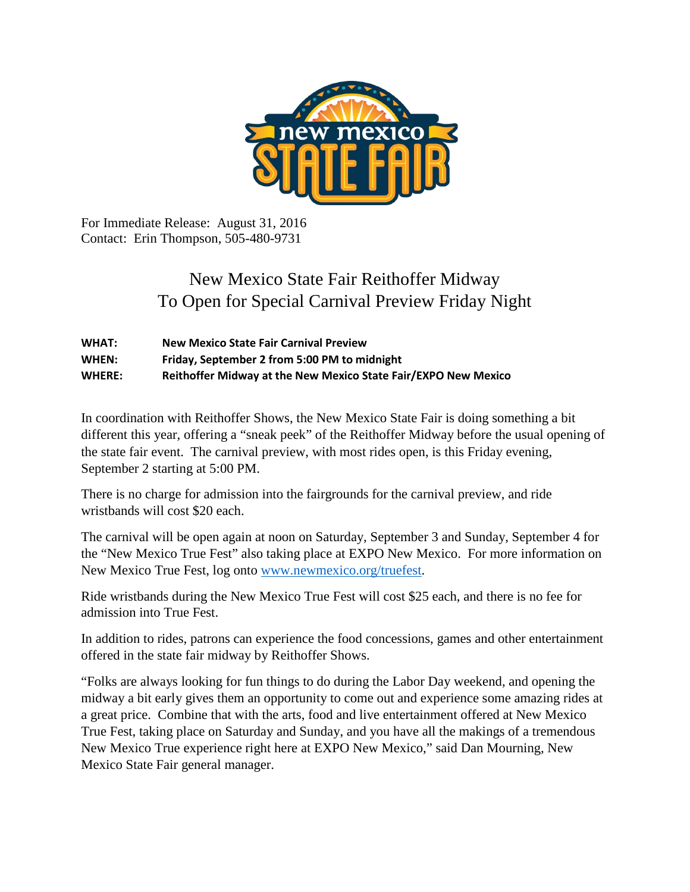

For Immediate Release: August 31, 2016 Contact: Erin Thompson, 505-480-9731

## New Mexico State Fair Reithoffer Midway To Open for Special Carnival Preview Friday Night

| <b>WHAT:</b>  | <b>New Mexico State Fair Carnival Preview</b>                  |
|---------------|----------------------------------------------------------------|
| WHEN:         | Friday, September 2 from 5:00 PM to midnight                   |
| <b>WHERE:</b> | Reithoffer Midway at the New Mexico State Fair/EXPO New Mexico |

In coordination with Reithoffer Shows, the New Mexico State Fair is doing something a bit different this year, offering a "sneak peek" of the Reithoffer Midway before the usual opening of the state fair event. The carnival preview, with most rides open, is this Friday evening, September 2 starting at 5:00 PM.

There is no charge for admission into the fairgrounds for the carnival preview, and ride wristbands will cost \$20 each.

The carnival will be open again at noon on Saturday, September 3 and Sunday, September 4 for the "New Mexico True Fest" also taking place at EXPO New Mexico. For more information on New Mexico True Fest, log onto [www.newmexico.org/truefest.](http://www.newmexico.org/truefest)

Ride wristbands during the New Mexico True Fest will cost \$25 each, and there is no fee for admission into True Fest.

In addition to rides, patrons can experience the food concessions, games and other entertainment offered in the state fair midway by Reithoffer Shows.

"Folks are always looking for fun things to do during the Labor Day weekend, and opening the midway a bit early gives them an opportunity to come out and experience some amazing rides at a great price. Combine that with the arts, food and live entertainment offered at New Mexico True Fest, taking place on Saturday and Sunday, and you have all the makings of a tremendous New Mexico True experience right here at EXPO New Mexico," said Dan Mourning, New Mexico State Fair general manager.